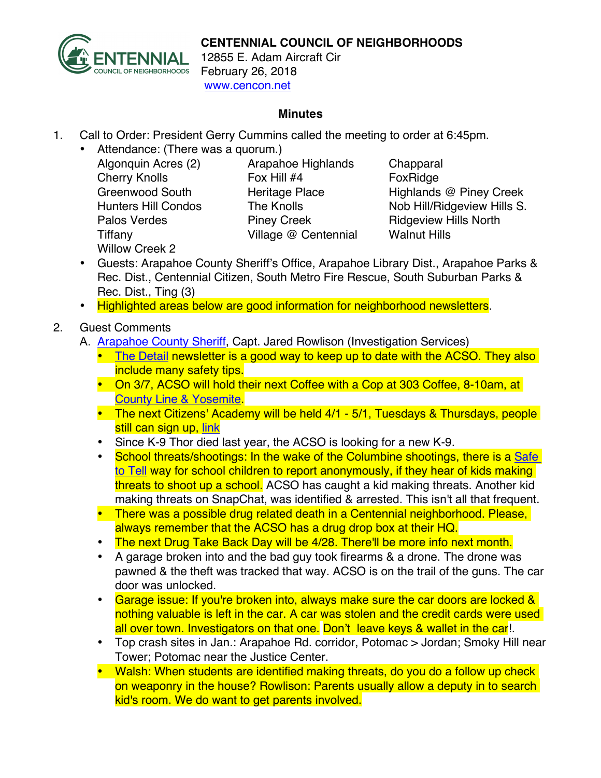

## **CENTENNIAL COUNCIL OF NEIGHBORHOODS**

12855 E. Adam Aircraft Cir February 26, 2018 www.cencon.net

## **Minutes**

- 1. Call to Order: President Gerry Cummins called the meeting to order at 6:45pm.
	- Attendance: (There was a quorum.)
		- Algonquin Acres (2) Arapahoe Highlands Chapparal Cherry Knolls **Fox Hill #4** Fox Hill #4 Tiffany Village @ Centennial Walnut Hills Willow Creek 2

Greenwood South **Heritage Place** Highlands @ Piney Creek Hunters Hill Condos The Knolls Nob Hill/Ridgeview Hills S. Palos Verdes **Piney Creek** Ridgeview Hills North

- Guests: Arapahoe County Sheriff's Office, Arapahoe Library Dist., Arapahoe Parks & Rec. Dist., Centennial Citizen, South Metro Fire Rescue, South Suburban Parks & Rec. Dist., Ting (3)
- Highlighted areas below are good information for neighborhood newsletters.
- 2. Guest Comments
	- A. [Arapahoe County Sheriff,](http://www.arapahoesheriff.org) Capt. Jared Rowlison (Investigation Services)
		- The [Detail](http://www.arapahoegov.com/1564/Community-Newsletter) newsletter is a good way to keep up to date with the ACSO. They also include many safety tips.
		- On 3/7, ACSO will hold their next Coffee with a Cop at 303 Coffee, 8-10am, at [County Line & Yosemite.](http://www.303coffeeco.com)
		- The next Citizens' Academy will be held 4/1 5/1, Tuesdays & Thursdays, people still can sign up, link
		- Since K-9 Thor died last year, the ACSO is looking for a new K-9.
		- School threats/shootings: In the wake of the Columbine shootings, there is a Safe [to Tell](https://safe2tell.org/schools) way for school children to report anonymously, if they hear of kids making threats to shoot up a school. ACSO has caught a kid making threats. Another kid making threats on SnapChat, was identified & arrested. This isn't all that frequent.
		- There was a possible drug related death in a Centennial neighborhood. Please, always remember that the ACSO has a drug drop box at their HQ.
		- The next Drug Take Back Day will be 4/28. There'll be more info next month.
		- A garage broken into and the bad guy took firearms & a drone. The drone was pawned & the theft was tracked that way. ACSO is on the trail of the guns. The car door was unlocked.
		- Garage issue: If you're broken into, always make sure the car doors are locked & nothing valuable is left in the car. A car was stolen and the credit cards were used all over town. Investigators on that one. Don't leave keys & wallet in the car!.
		- Top crash sites in Jan.: Arapahoe Rd. corridor, Potomac > Jordan; Smoky Hill near Tower; Potomac near the Justice Center.
		- Walsh: When students are identified making threats, do you do a follow up check on weaponry in the house? Rowlison: Parents usually allow a deputy in to search kid's room. We do want to get parents involved.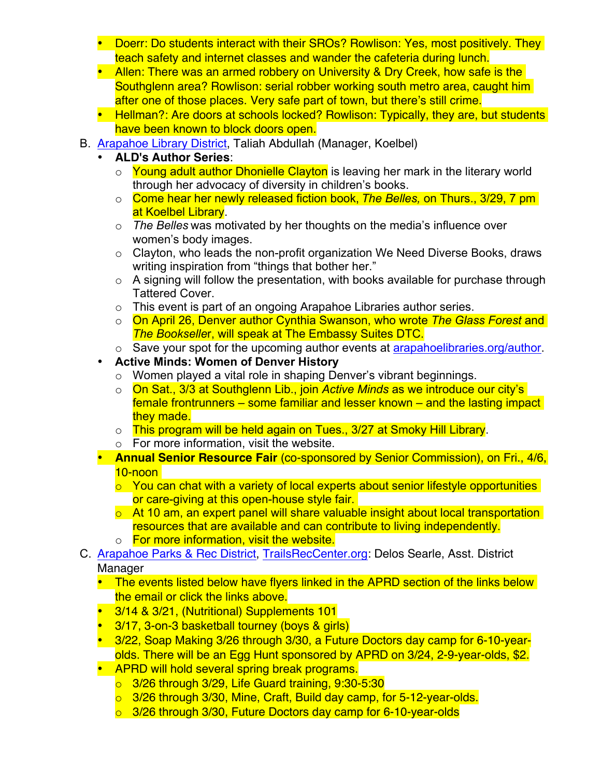- Doerr: Do students interact with their SROs? Rowlison: Yes, most positively. They teach safety and internet classes and wander the cafeteria during lunch.
- Allen: There was an armed robbery on University & Dry Creek, how safe is the Southglenn area? Rowlison: serial robber working south metro area, caught him after one of those places. Very safe part of town, but there's still crime.
- Hellman?: Are doors at schools locked? Rowlison: Typically, they are, but students have been known to block doors open.
- B. [Arapahoe Library District](http://www.arapahoelibraries.org/), Taliah Abdullah (Manager, Koelbel)
	- **ALD's Author Series**:
		- $\circ$  Young adult author Dhonielle Clayton is leaving her mark in the literary world through her advocacy of diversity in children's books.
		- o Come hear her newly released fiction book, *The Belles,* on Thurs., 3/29, 7 pm at Koelbel Library.
		- o *The Belles* was motivated by her thoughts on the media's influence over women's body images.
		- o Clayton, who leads the non-profit organization We Need Diverse Books, draws writing inspiration from "things that bother her."
		- $\circ$  A signing will follow the presentation, with books available for purchase through Tattered Cover.
		- o This event is part of an ongoing Arapahoe Libraries author series.
		- o On April 26, Denver author Cynthia Swanson, who wrote *The Glass Forest* and *The Bookselle*r, will speak at The Embassy Suites DTC.
		- $\circ$  Save your spot for the upcoming author events at [arapahoelibraries.org/author](http://www.arapahoelibraries.org/author).
	- **Active Minds: Women of Denver History**
		- o Women played a vital role in shaping Denver's vibrant beginnings.
		- o On Sat., 3/3 at Southglenn Lib., join *Active Minds* as we introduce our city's female frontrunners – some familiar and lesser known – and the lasting impact they made.
		- o This program will be held again on Tues., 3/27 at Smoky Hill Library.
		- o For more information, visit the website.
	- **Annual Senior Resource Fair** (co-sponsored by Senior Commission), on Fri., 4/6, 10-noon
		- o You can chat with a variety of local experts about senior lifestyle opportunities or care-giving at this open-house style fair.
		- o At 10 am, an expert panel will share valuable insight about local transportation resources that are available and can contribute to living independently.
		- o For more information, visit the website.
- C. [Arapahoe Parks & Rec District](http://www.aprd.org), [TrailsRecCenter.org:](https://www.trailsrecreationcenter.org) Delos Searle, Asst. District Manager
	- The events listed below have flyers linked in the APRD section of the links below the email or click the links above.
	- 3/14 & 3/21, (Nutritional) Supplements 101
	- 3/17, 3-on-3 basketball tourney (boys & girls)
	- 3/22, Soap Making 3/26 through 3/30, a Future Doctors day camp for 6-10-yearolds. There will be an Egg Hunt sponsored by APRD on 3/24, 2-9-year-olds, \$2.
	- APRD will hold several spring break programs.
		- o 3/26 through 3/29, Life Guard training, 9:30-5:30
		- o 3/26 through 3/30, Mine, Craft, Build day camp, for 5-12-year-olds.
		- o 3/26 through 3/30, Future Doctors day camp for 6-10-year-olds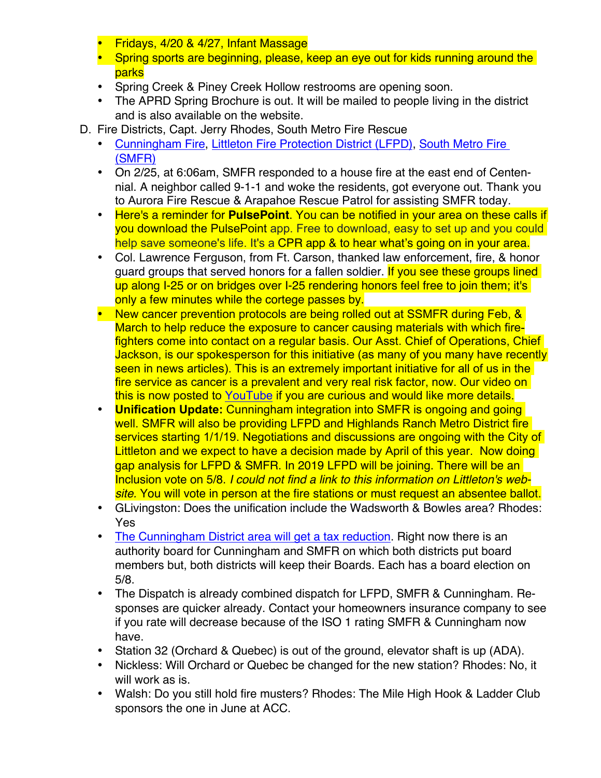- Fridays, 4/20 & 4/27, Infant Massage
- Spring sports are beginning, please, keep an eye out for kids running around the parks
- Spring Creek & Piney Creek Hollow restrooms are opening soon.
- The APRD Spring Brochure is out. It will be mailed to people living in the district and is also available on the website.
- D. Fire Districts, Capt. Jerry Rhodes, South Metro Fire Rescue
	- [Cunningham Fire](http://www.cfpd.org), [Littleton Fire Protection District \(LFPD\)](http://www.littletongov.org/fire), [South Metro Fire](http://www.southmetro.org)  [\(SMFR\)](http://www.southmetro.org)
	- On 2/25, at 6:06am, SMFR responded to a house fire at the east end of Centennial. A neighbor called 9-1-1 and woke the residents, got everyone out. Thank you to Aurora Fire Rescue & Arapahoe Rescue Patrol for assisting SMFR today.
	- Here's a reminder for **PulsePoint**. You can be notified in your area on these calls if you download the PulsePoint app. Free to download, easy to set up and you could help save someone's life. It's a CPR app & to hear what's going on in your area.
	- Col. Lawrence Ferguson, from Ft. Carson, thanked law enforcement, fire, & honor guard groups that served honors for a fallen soldier. If you see these groups lined up along I-25 or on bridges over I-25 rendering honors feel free to join them; it's only a few minutes while the cortege passes by.
	- New cancer prevention protocols are being rolled out at SSMFR during Feb, & March to help reduce the exposure to cancer causing materials with which firefighters come into contact on a regular basis. Our Asst. Chief of Operations, Chief Jackson, is our spokesperson for this initiative (as many of you many have recently seen in news articles). This is an extremely important initiative for all of us in the fire service as cancer is a prevalent and very real risk factor, now. Our video on this is now posted to [YouTube](https://www.youtube.com/watch?v=LoHy00UYVIQ&feature=youtu.be) if you are curious and would like more details.
	- **Unification Update:** Cunningham integration into SMFR is ongoing and going well. SMFR will also be providing LFPD and Highlands Ranch Metro District fire services starting 1/1/19. Negotiations and discussions are ongoing with the City of Littleton and we expect to have a decision made by April of this year. Now doing gap analysis for LFPD & SMFR. In 2019 LFPD will be joining. There will be an Inclusion vote on 5/8. *I could not find a link to this information on Littleton's website.* You will vote in person at the fire stations or must request an absentee ballot.
	- GLivingston: Does the unification include the Wadsworth & Bowles area? Rhodes: Yes
	- The Cunningham District [area will get a tax reduction.](https://cfpd.org/news#election2018) Right now there is an authority board for Cunningham and SMFR on which both districts put board members but, both districts will keep their Boards. Each has a board election on 5/8.
	- The Dispatch is already combined dispatch for LFPD, SMFR & Cunningham. Responses are quicker already. Contact your homeowners insurance company to see if you rate will decrease because of the ISO 1 rating SMFR & Cunningham now have.
	- Station 32 (Orchard & Quebec) is out of the ground, elevator shaft is up (ADA).
	- Nickless: Will Orchard or Quebec be changed for the new station? Rhodes: No, it will work as is.
	- Walsh: Do you still hold fire musters? Rhodes: The Mile High Hook & Ladder Club sponsors the one in June at ACC.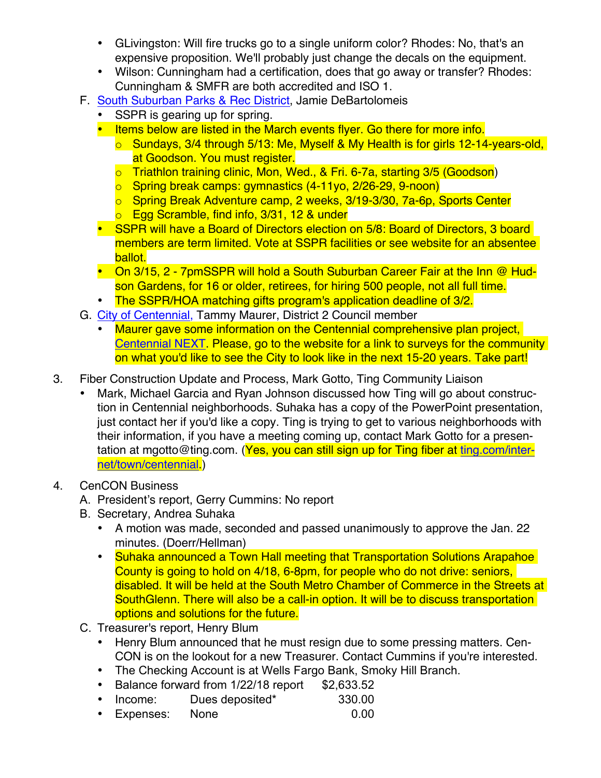- GLivingston: Will fire trucks go to a single uniform color? Rhodes: No, that's an expensive proposition. We'll probably just change the decals on the equipment.
- Wilson: Cunningham had a certification, does that go away or transfer? Rhodes: Cunningham & SMFR are both accredited and ISO 1.
- F. [South Suburban Parks & Rec District](http://www.SSPR.org), Jamie DeBartolomeis
	- SSPR is gearing up for spring.
	- Items below are listed in the March events flyer. Go there for more info.
		- o Sundays, 3/4 through 5/13: Me, Myself & My Health is for girls 12-14-years-old, at Goodson. You must register.
		- o Triathlon training clinic, Mon, Wed., & Fri. 6-7a, starting 3/5 (Goodson)
		- o Spring break camps: gymnastics (4-11yo, 2/26-29, 9-noon)
		- o Spring Break Adventure camp, 2 weeks, 3/19-3/30, 7a-6p, Sports Center
		- o Egg Scramble, find info, 3/31, 12 & under
	- SSPR will have a Board of Directors election on 5/8: Board of Directors, 3 board members are term limited. Vote at SSPR facilities or see website for an absentee ballot.
	- On 3/15, 2 7pmSSPR will hold a South Suburban Career Fair at the Inn @ Hudson Gardens, for 16 or older, retirees, for hiring 500 people, not all full time.
	- The SSPR/HOA matching gifts program's application deadline of 3/2.
- G. [City of Centennial,](http://www.centennialco.gov) Tammy Maurer, District 2 Council member
	- Maurer gave some information on the Centennial comprehensive plan project, [Centennial NEXT](https://www.centennialco.gov/centennialnext). Please, go to the website for a link to surveys for the community on what you'd like to see the City to look like in the next 15-20 years. Take part!
- 3. Fiber Construction Update and Process, Mark Gotto, Ting Community Liaison
	- Mark, Michael Garcia and Ryan Johnson discussed how Ting will go about construction in Centennial neighborhoods. Suhaka has a copy of the PowerPoint presentation, just contact her if you'd like a copy. Ting is trying to get to various neighborhoods with their information, if you have a meeting coming up, contact Mark Gotto for a presentation at mgotto@ting.com. (Yes, you can still sign up for Ting fiber at [ting.com/inter](https://ting.com/internet/town/centennial)[net/town/centennial.\)](https://ting.com/internet/town/centennial)
- 4. CenCON Business
	- A. President's report, Gerry Cummins: No report
	- B. Secretary, Andrea Suhaka
		- A motion was made, seconded and passed unanimously to approve the Jan. 22 minutes. (Doerr/Hellman)
		- Suhaka announced a Town Hall meeting that Transportation Solutions Arapahoe County is going to hold on 4/18, 6-8pm, for people who do not drive: seniors, disabled. It will be held at the South Metro Chamber of Commerce in the Streets at SouthGlenn. There will also be a call-in option. It will be to discuss transportation options and solutions for the future.
	- C. Treasurer's report, Henry Blum
		- Henry Blum announced that he must resign due to some pressing matters. Cen-CON is on the lookout for a new Treasurer. Contact Cummins if you're interested.
		- The Checking Account is at Wells Fargo Bank, Smoky Hill Branch.
		- Balance forward from 1/22/18 report \$2,633.52
		- Income: Dues deposited\* 330.00
		- Expenses: None 0.00